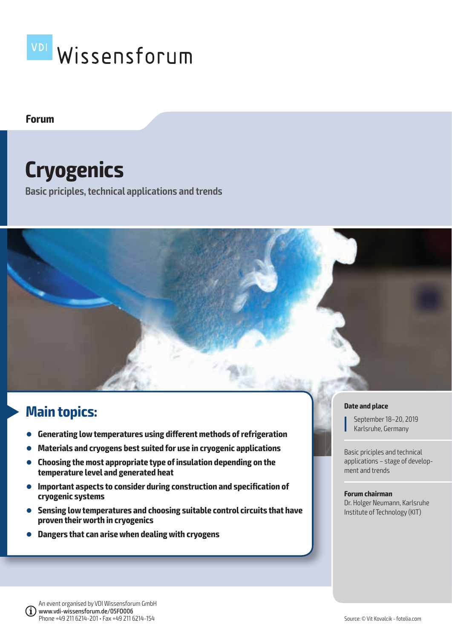

## **Forum**

# **Cryogenics**

**Basic priciples, technical applications and trends**



# **Main topics:**

- **Generating low temperatures using different methods of refrigeration**
- **Materials and cryogens best suited for use in cryogenic applications**
- **Choosing the most appropriate type of insulation depending on the temperature level and generated heat**
- **Important aspects to consider during construction and specification of cryogenic systems**
- **Sensing low temperatures and choosing suitable control circuits that have proven their worth in cryogenics**
- **Dangers that can arise when dealing with cryogens**

#### **Date and place**

September 18–20, 2019 Karlsruhe, Germany

Basic priciples and technical applications – stage of development and trends

#### **Forum chairman**

Dr. Holger Neumann, Karlsruhe Institute of Technology (KIT)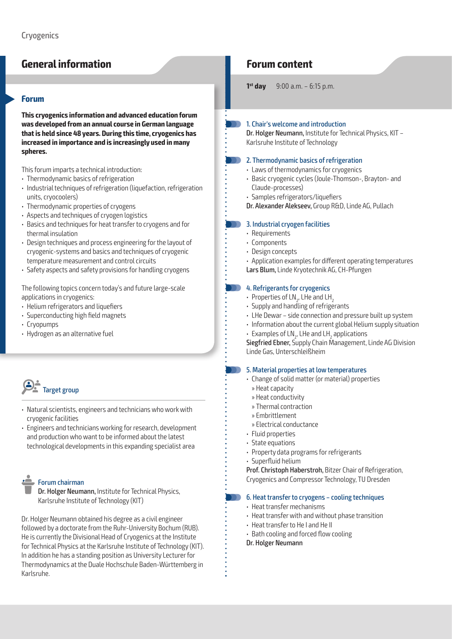# **General information**

#### **Forum**

**This cryogenics information and advanced education forum was developed from an annual course in German language that is held since 48 years. During this time, cryogenics has increased in importance and is increasingly used in many spheres.**

This forum imparts a technical introduction:

- Thermodynamic basics of refrigeration
- Industrial techniques of refrigeration (liquefaction, refrigeration units, cryocoolers)
- Thermodynamic properties of cryogens
- Aspects and techniques of cryogen logistics
- Basics and techniques for heat transfer to cryogens and for thermal insulation
- Design techniques and process engineering for the layout of cryogenic-systems and basics and techniques of cryogenic temperature measurement and control circuits
- Safety aspects and safety provisions for handling cryogens

The following topics concern today's and future large-scale applications in cryogenics:

- Helium refrigerators and liquefiers
- Superconducting high field magnets
- Cryopumps
- Hydrogen as an alternative fuel



- Natural scientists, engineers and technicians who work with cryogenic facilities
- Engineers and technicians working for research, development and production who want to be informed about the latest technological developments in this expanding specialist area

# Forum chairman

 Dr. Holger Neumann, Institute for Technical Physics, Karlsruhe Institute of Technology (KIT)

Dr. Holger Neumann obtained his degree as a civil engineer followed by a doctorate from the Ruhr-University Bochum (RUB). He is currently the Divisional Head of Cryogenics at the Institute for Technical Physics at the Karlsruhe Institute of Technology (KIT). In addition he has a standing position as University Lecturer for Thermodynamics at the Duale Hochschule Baden-Württemberg in Karlsruhe.

# **Forum content**

**1<sup>st</sup> day** 9:00 a.m. – 6:15 p.m.

#### 1. Chair's welcome and introduction

Dr. Holger Neumann, Institute for Technical Physics, KIT – Karlsruhe Institute of Technology

#### 2. Thermodynamic basics of refrigeration

- Laws of thermodynamics for cryogenics
- Basic cryogenic cycles (Joule-Thomson-, Brayton- and Claude-processes)
- Samples refrigerators/liquefiers
- Dr. Alexander Alekseev, Group R&D, Linde AG, Pullach

#### 3. Industrial cryogen facilities

- Requirements
- Components
- Design concepts
- Application examples for different operating temperatures Lars Blum, Linde Kryotechnik AG, CH-Pfungen

#### 4. Refrigerants for cryogenics

- Properties of LN $_2$ , LHe and LH $_2$
- Supply and handling of refrigerants
- LHe Dewar side connection and pressure built up system
- Information about the current global Helium supply situation
- Examples of LN<sub>2</sub>, LHe and LH<sub>2</sub> applications

Siegfried Ebner, Supply Chain Management, Linde AG Division Linde Gas, Unterschleißheim

#### 5. Material properties at low temperatures

- Change of solid matter (or material) properties » Heat capacity
	- » Heat conductivity
	- » Thermal contraction
	- » Embrittlement
- 
- » Electrical conductance
- Fluid properties
- State equations
- Property data programs for refrigerants
- $\cdot$  Superfluid helium

Prof. Christoph Haberstroh, Bitzer Chair of Refrigeration, Cryogenics and Compressor Technology, TU Dresden

#### 6. Heat transfer to cryogens – cooling techniques N N

- Heat transfer mechanisms
- Heat transfer with and without phase transition
- Heat transfer to He I and He II
- Bath cooling and forced flow cooling
- Dr. Holger Neumann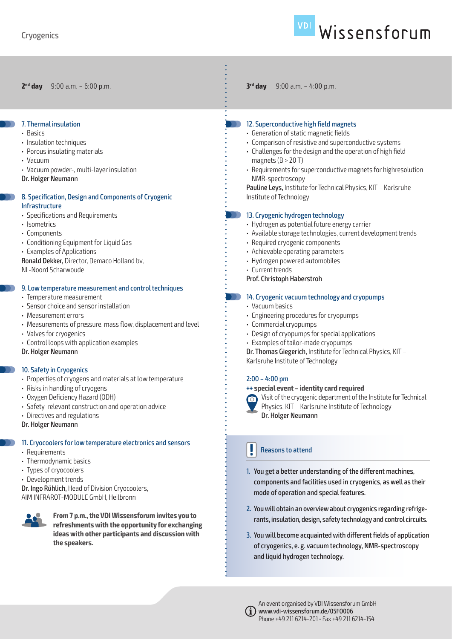#### 7. Thermal insulation

- Basics
- Insulation techniques
- Porous insulating materials
- Vacuum
- Vacuum powder-, multi-layer insulation
- Dr. Holger Neumann

#### 8. Specification, Design and Components of Cryogenic Infrastructure

- Specifications and Requirements
- Isometrics
- Components
- Conditioning Equipment for Liquid Gas
- Examples of Applications
- Ronald Dekker, Director, Demaco Holland bv, NL-Noord Scharwoude

#### 9. Low temperature measurement and control techniques

- Temperature measurement
- Sensor choice and sensor installation
- Measurement errors
- Measurements of pressure, mass flow, displacement and level
- Valves for cryogenics
- Control loops with application examples
- Dr. Holger Neumann

#### 10. Safety in Cryogenics

- Properties of cryogens and materials at low temperature
- Risks in handling of cryogens
- Oxygen Deficiency Hazard (ODH)
- Safety-relevant construction and operation advice
- Directives and regulations

Dr. Holger Neumann

### 11. Cryocoolers for low temperature electronics and sensors

- Requirements
- Thermodynamic basics
- Types of cryocoolers
- Development trends

Dr. Ingo Rühlich, Head of Division Cryocoolers, AIM INFRAROT-MODULE GmbH, Heilbronn



**From 7 p.m., the VDI Wissensforum invites you to refreshments with the opportunity for exchanging ideas with other participants and discussion with the speakers.**

**2nd day** 9:00 a.m. – 6:00 p.m. **3rd day** 9:00 a.m. – 4:00 p.m.

#### 12. Superconductive high field magnets

- Generation of static magnetic fields
- Comparison of resistive and superconductive systems
- Challenges for the design and the operation of high field magnets  $(B > 20 T)$
- Requirements for superconductive magnets for highresolution NMR-spectroscopy

Pauline Leys, Institute for Technical Physics, KIT – Karlsruhe Institute of Technology

#### 13. Cryogenic hydrogen technology

- Hydrogen as potential future energy carrier
- Available storage technologies, current development trends
- Required cryogenic components
- Achievable operating parameters
- Hydrogen powered automobiles
- Current trends

#### Prof. Christoph Haberstroh

#### 14. Cryogenic vacuum technology and cryopumps

- Vacuum basics
- Engineering procedures for cryopumps
- Commercial cryopumps
- Design of cryopumps for special applications
- Examples of tailor-made cryopumps

Dr. Thomas Giegerich, Institute for Technical Physics, KIT – Karlsruhe Institute of Technology

#### $2:00 - 4:00$  pm

#### **+++ special event – identity card required**



Visit of the cryogenic department of the Institute for Technical

Physics, KIT – Karlsruhe Institute of Technology Dr. Holger Neumann

#### Reasons to attend

- 1. You get a better understanding of the different machines, components and facilities used in cryogenics, as well as their mode of operation and special features.
- 2. You will obtain an overview about cryogenics regarding refrigerants, insulation, design, safety technology and control circuits.
- 3. You will become acquainted with different fields of application of cryogenics, e. g. vacuum technology, NMR-spectroscopy and liquid hydrogen technology.